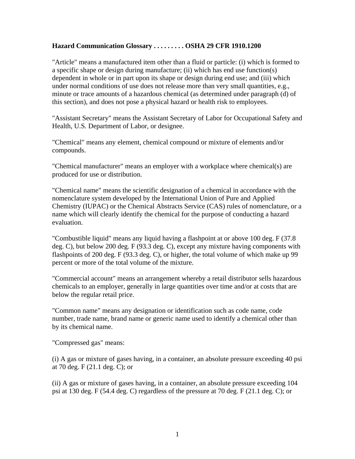## **Hazard Communication Glossary . . . . . . . . . OSHA 29 CFR 1910.1200**

"Article" means a manufactured item other than a fluid or particle: (i) which is formed to a specific shape or design during manufacture; (ii) which has end use function(s) dependent in whole or in part upon its shape or design during end use; and (iii) which under normal conditions of use does not release more than very small quantities, e.g., minute or trace amounts of a hazardous chemical (as determined under paragraph (d) of this section), and does not pose a physical hazard or health risk to employees.

"Assistant Secretary" means the Assistant Secretary of Labor for Occupational Safety and Health, U.S. Department of Labor, or designee.

"Chemical" means any element, chemical compound or mixture of elements and/or compounds.

"Chemical manufacturer" means an employer with a workplace where chemical(s) are produced for use or distribution.

"Chemical name" means the scientific designation of a chemical in accordance with the nomenclature system developed by the International Union of Pure and Applied Chemistry (IUPAC) or the Chemical Abstracts Service (CAS) rules of nomenclature, or a name which will clearly identify the chemical for the purpose of conducting a hazard evaluation.

"Combustible liquid" means any liquid having a flashpoint at or above 100 deg. F (37.8 deg. C), but below 200 deg. F (93.3 deg. C), except any mixture having components with flashpoints of 200 deg. F (93.3 deg. C), or higher, the total volume of which make up 99 percent or more of the total volume of the mixture.

"Commercial account" means an arrangement whereby a retail distributor sells hazardous chemicals to an employer, generally in large quantities over time and/or at costs that are below the regular retail price.

"Common name" means any designation or identification such as code name, code number, trade name, brand name or generic name used to identify a chemical other than by its chemical name.

"Compressed gas" means:

(i) A gas or mixture of gases having, in a container, an absolute pressure exceeding 40 psi at 70 deg. F (21.1 deg. C); or

(ii) A gas or mixture of gases having, in a container, an absolute pressure exceeding 104 psi at 130 deg. F (54.4 deg. C) regardless of the pressure at 70 deg. F (21.1 deg. C); or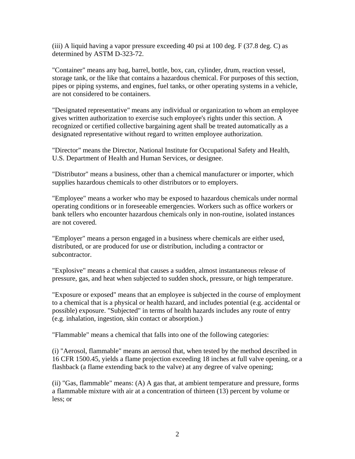(iii) A liquid having a vapor pressure exceeding 40 psi at 100 deg. F (37.8 deg. C) as determined by ASTM D-323-72.

"Container" means any bag, barrel, bottle, box, can, cylinder, drum, reaction vessel, storage tank, or the like that contains a hazardous chemical. For purposes of this section, pipes or piping systems, and engines, fuel tanks, or other operating systems in a vehicle, are not considered to be containers.

"Designated representative" means any individual or organization to whom an employee gives written authorization to exercise such employee's rights under this section. A recognized or certified collective bargaining agent shall be treated automatically as a designated representative without regard to written employee authorization.

"Director" means the Director, National Institute for Occupational Safety and Health, U.S. Department of Health and Human Services, or designee.

"Distributor" means a business, other than a chemical manufacturer or importer, which supplies hazardous chemicals to other distributors or to employers.

"Employee" means a worker who may be exposed to hazardous chemicals under normal operating conditions or in foreseeable emergencies. Workers such as office workers or bank tellers who encounter hazardous chemicals only in non-routine, isolated instances are not covered.

"Employer" means a person engaged in a business where chemicals are either used, distributed, or are produced for use or distribution, including a contractor or subcontractor.

"Explosive" means a chemical that causes a sudden, almost instantaneous release of pressure, gas, and heat when subjected to sudden shock, pressure, or high temperature.

"Exposure or exposed" means that an employee is subjected in the course of employment to a chemical that is a physical or health hazard, and includes potential (e.g. accidental or possible) exposure. "Subjected" in terms of health hazards includes any route of entry (e.g. inhalation, ingestion, skin contact or absorption.)

"Flammable" means a chemical that falls into one of the following categories:

(i) "Aerosol, flammable" means an aerosol that, when tested by the method described in 16 CFR 1500.45, yields a flame projection exceeding 18 inches at full valve opening, or a flashback (a flame extending back to the valve) at any degree of valve opening;

(ii) "Gas, flammable" means: (A) A gas that, at ambient temperature and pressure, forms a flammable mixture with air at a concentration of thirteen (13) percent by volume or less; or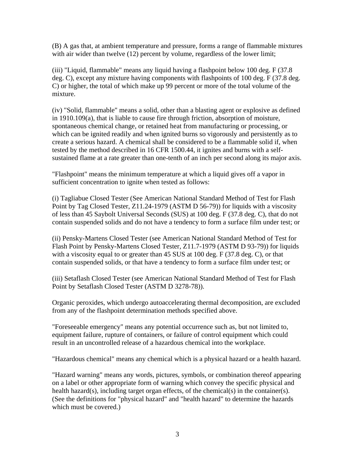(B) A gas that, at ambient temperature and pressure, forms a range of flammable mixtures with air wider than twelve (12) percent by volume, regardless of the lower limit;

(iii) "Liquid, flammable" means any liquid having a flashpoint below 100 deg. F (37.8 deg. C), except any mixture having components with flashpoints of 100 deg. F (37.8 deg. C) or higher, the total of which make up 99 percent or more of the total volume of the mixture.

(iv) "Solid, flammable" means a solid, other than a blasting agent or explosive as defined in 1910.109(a), that is liable to cause fire through friction, absorption of moisture, spontaneous chemical change, or retained heat from manufacturing or processing, or which can be ignited readily and when ignited burns so vigorously and persistently as to create a serious hazard. A chemical shall be considered to be a flammable solid if, when tested by the method described in 16 CFR 1500.44, it ignites and burns with a selfsustained flame at a rate greater than one-tenth of an inch per second along its major axis.

"Flashpoint" means the minimum temperature at which a liquid gives off a vapor in sufficient concentration to ignite when tested as follows:

(i) Tagliabue Closed Tester (See American National Standard Method of Test for Flash Point by Tag Closed Tester, Z11.24-1979 (ASTM D 56-79)) for liquids with a viscosity of less than 45 Saybolt Universal Seconds (SUS) at 100 deg. F (37.8 deg. C), that do not contain suspended solids and do not have a tendency to form a surface film under test; or

(ii) Pensky-Martens Closed Tester (see American National Standard Method of Test for Flash Point by Pensky-Martens Closed Tester, Z11.7-1979 (ASTM D 93-79)) for liquids with a viscosity equal to or greater than 45 SUS at 100 deg. F (37.8 deg. C), or that contain suspended solids, or that have a tendency to form a surface film under test; or

(iii) Setaflash Closed Tester (see American National Standard Method of Test for Flash Point by Setaflash Closed Tester (ASTM D 3278-78)).

Organic peroxides, which undergo autoaccelerating thermal decomposition, are excluded from any of the flashpoint determination methods specified above.

"Foreseeable emergency" means any potential occurrence such as, but not limited to, equipment failure, rupture of containers, or failure of control equipment which could result in an uncontrolled release of a hazardous chemical into the workplace.

"Hazardous chemical" means any chemical which is a physical hazard or a health hazard.

"Hazard warning" means any words, pictures, symbols, or combination thereof appearing on a label or other appropriate form of warning which convey the specific physical and health hazard(s), including target organ effects, of the chemical(s) in the container(s). (See the definitions for "physical hazard" and "health hazard" to determine the hazards which must be covered.)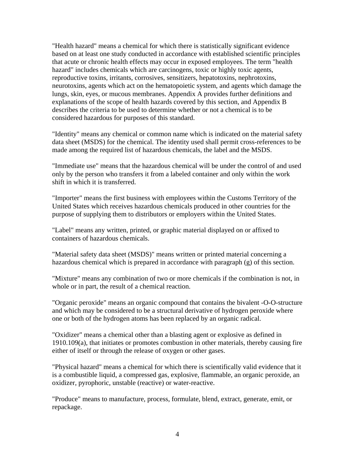"Health hazard" means a chemical for which there is statistically significant evidence based on at least one study conducted in accordance with established scientific principles that acute or chronic health effects may occur in exposed employees. The term "health hazard" includes chemicals which are carcinogens, toxic or highly toxic agents, reproductive toxins, irritants, corrosives, sensitizers, hepatotoxins, nephrotoxins, neurotoxins, agents which act on the hematopoietic system, and agents which damage the lungs, skin, eyes, or mucous membranes. Appendix A provides further definitions and explanations of the scope of health hazards covered by this section, and Appendix B describes the criteria to be used to determine whether or not a chemical is to be considered hazardous for purposes of this standard.

"Identity" means any chemical or common name which is indicated on the material safety data sheet (MSDS) for the chemical. The identity used shall permit cross-references to be made among the required list of hazardous chemicals, the label and the MSDS.

"Immediate use" means that the hazardous chemical will be under the control of and used only by the person who transfers it from a labeled container and only within the work shift in which it is transferred.

"Importer" means the first business with employees within the Customs Territory of the United States which receives hazardous chemicals produced in other countries for the purpose of supplying them to distributors or employers within the United States.

"Label" means any written, printed, or graphic material displayed on or affixed to containers of hazardous chemicals.

"Material safety data sheet (MSDS)" means written or printed material concerning a hazardous chemical which is prepared in accordance with paragraph (g) of this section.

"Mixture" means any combination of two or more chemicals if the combination is not, in whole or in part, the result of a chemical reaction.

"Organic peroxide" means an organic compound that contains the bivalent -O-O-structure and which may be considered to be a structural derivative of hydrogen peroxide where one or both of the hydrogen atoms has been replaced by an organic radical.

"Oxidizer" means a chemical other than a blasting agent or explosive as defined in 1910.109(a), that initiates or promotes combustion in other materials, thereby causing fire either of itself or through the release of oxygen or other gases.

"Physical hazard" means a chemical for which there is scientifically valid evidence that it is a combustible liquid, a compressed gas, explosive, flammable, an organic peroxide, an oxidizer, pyrophoric, unstable (reactive) or water-reactive.

"Produce" means to manufacture, process, formulate, blend, extract, generate, emit, or repackage.